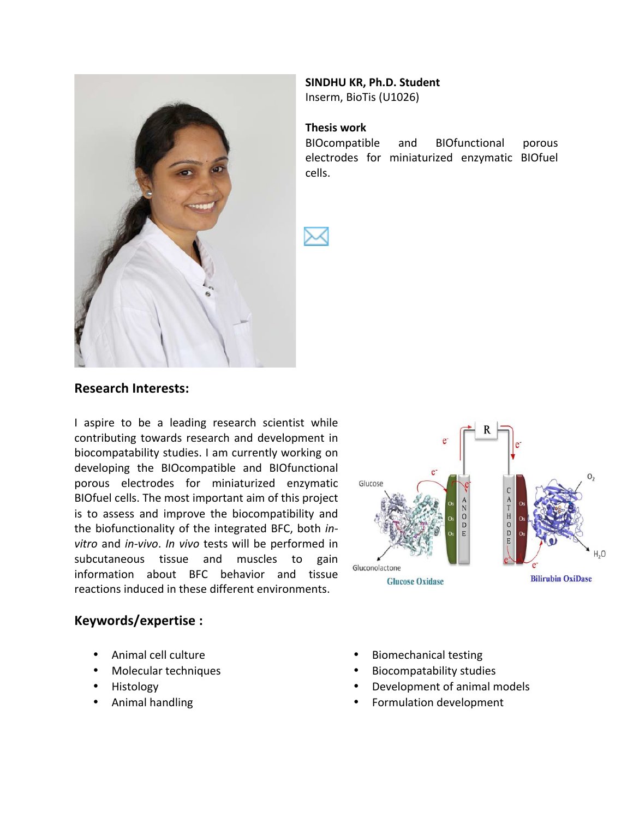

# **SINDHU KR, Ph.D. Student**

Inserm, BioTis (U1026)

#### **Thesis'work**

BIOcompatible and BIOfunctional porous electrodes for miniaturized enzymatic BIOfuel cells.

### **Research'Interests:**

I aspire to be a leading research scientist while contributing towards research and development in biocompatability studies. I am currently working on developing the BIOcompatible and BIOfunctional porous electrodes for miniaturized enzymatic BIOfuel cells. The most important aim of this project is to assess and improve the biocompatibility and the biofunctionality of the integrated BFC, both *invitro* and *in-vivo*. *In vivo* tests will be performed in subcutaneous tissue and muscles to gain information about BFC behavior and tissue reactions induced in these different environments.



### **Keywords/expertise :**

- Animal cell culture
- Molecular techniques
- Histology
- Animal handling
- **Biomechanical testing**
- Biocompatability studies
- Development of animal models
- Formulation development